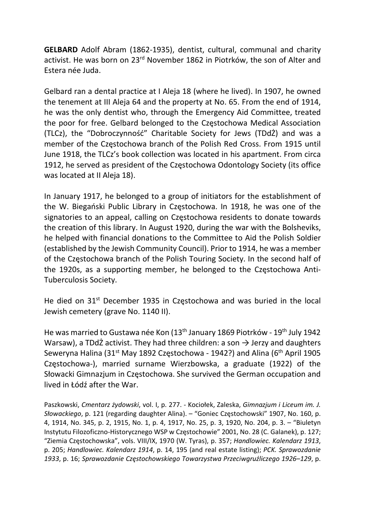GELBARD Adolf Abram (1862-1935), dentist, cultural, communal and charity activist. He was born on 23rd November 1862 in Piotrków, the son of Alter and Estera née Juda.

Gelbard ran a dental practice at I Aleja 18 (where he lived). In 1907, he owned the tenement at III Aleja 64 and the property at No. 65. From the end of 1914, he was the only dentist who, through the Emergency Aid Committee, treated the poor for free. Gelbard belonged to the Częstochowa Medical Association (TLCz), the "Dobroczynność" Charitable Society for Jews (TDdŻ) and was a member of the Częstochowa branch of the Polish Red Cross. From 1915 until June 1918, the TLCz's book collection was located in his apartment. From circa 1912, he served as president of the Częstochowa Odontology Society (its office was located at II Aleja 18).

In January 1917, he belonged to a group of initiators for the establishment of the W. Biegański Public Library in Częstochowa. In 1918, he was one of the signatories to an appeal, calling on Częstochowa residents to donate towards the creation of this library. In August 1920, during the war with the Bolsheviks, he helped with financial donations to the Committee to Aid the Polish Soldier (established by the Jewish Community Council). Prior to 1914, he was a member of the Częstochowa branch of the Polish Touring Society. In the second half of the 1920s, as a supporting member, he belonged to the Częstochowa Anti-Tuberculosis Society.

He died on  $31<sup>st</sup>$  December 1935 in Częstochowa and was buried in the local Jewish cemetery (grave No. 1140 II).

He was married to Gustawa née Kon (13th January 1869 Piotrków - 19th July 1942 Warsaw), a TDdŻ activist. They had three children: a son  $\rightarrow$  Jerzy and daughters Seweryna Halina (31<sup>st</sup> May 1892 Częstochowa - 1942?) and Alina (6<sup>th</sup> April 1905 Częstochowa-), married surname Wierzbowska, a graduate (1922) of the Słowacki Gimnazjum in Częstochowa. She survived the German occupation and lived in Łódź after the War.

Paszkowski, Cmentarz żydowski, vol. I, p. 277. - Kociołek, Zaleska, Gimnazjum i Liceum im. J. Słowackiego, p. 121 (regarding daughter Alina). – "Goniec Częstochowski" 1907, No. 160, p. 4, 1914, No. 345, p. 2, 1915, No. 1, p. 4, 1917, No. 25, p. 3, 1920, No. 204, p. 3. – "Biuletyn Instytutu Filozoficzno-Historycznego WSP w Częstochowie" 2001, No. 28 (C. Galanek), p. 127; "Ziemia Częstochowska", vols. VIII/IX, 1970 (W. Tyras), p. 357; Handlowiec. Kalendarz 1913, p. 205; Handlowiec. Kalendarz 1914, p. 14, 195 (and real estate listing); PCK. Sprawozdanie 1933, p. 16; Sprawozdanie Częstochowskiego Towarzystwa Przeciwgruźliczego 1926–129, p.